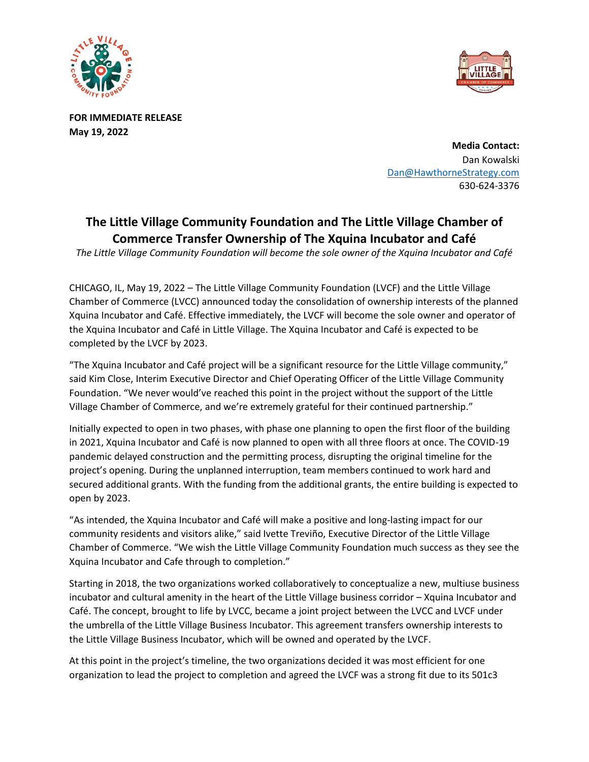



**FOR IMMEDIATE RELEASE May 19, 2022** 

> **Media Contact:** Dan Kowalski [Dan@HawthorneStrategy.com](mailto:Dan@HawthorneStrategy.com) 630-624-3376

# **The Little Village Community Foundation and The Little Village Chamber of Commerce Transfer Ownership of The Xquina Incubator and Café**

*The Little Village Community Foundation will become the sole owner of the Xquina Incubator and Café* 

CHICAGO, IL, May 19, 2022 – The Little Village Community Foundation (LVCF) and the Little Village Chamber of Commerce (LVCC) announced today the consolidation of ownership interests of the planned Xquina Incubator and Café. Effective immediately, the LVCF will become the sole owner and operator of the Xquina Incubator and Café in Little Village. The Xquina Incubator and Café is expected to be completed by the LVCF by 2023.

"The Xquina Incubator and Café project will be a significant resource for the Little Village community," said Kim Close, Interim Executive Director and Chief Operating Officer of the Little Village Community Foundation. "We never would've reached this point in the project without the support of the Little Village Chamber of Commerce, and we're extremely grateful for their continued partnership."

Initially expected to open in two phases, with phase one planning to open the first floor of the building in 2021, Xquina Incubator and Café is now planned to open with all three floors at once. The COVID-19 pandemic delayed construction and the permitting process, disrupting the original timeline for the project's opening. During the unplanned interruption, team members continued to work hard and secured additional grants. With the funding from the additional grants, the entire building is expected to open by 2023.

"As intended, the Xquina Incubator and Café will make a positive and long-lasting impact for our community residents and visitors alike," said Ivette Treviño, Executive Director of the Little Village Chamber of Commerce. "We wish the Little Village Community Foundation much success as they see the Xquina Incubator and Cafe through to completion."

Starting in 2018, the two organizations worked collaboratively to conceptualize a new, multiuse business incubator and cultural amenity in the heart of the Little Village business corridor – Xquina Incubator and Café. The concept, brought to life by LVCC, became a joint project between the LVCC and LVCF under the umbrella of the Little Village Business Incubator. This agreement transfers ownership interests to the Little Village Business Incubator, which will be owned and operated by the LVCF.

At this point in the project's timeline, the two organizations decided it was most efficient for one organization to lead the project to completion and agreed the LVCF was a strong fit due to its 501c3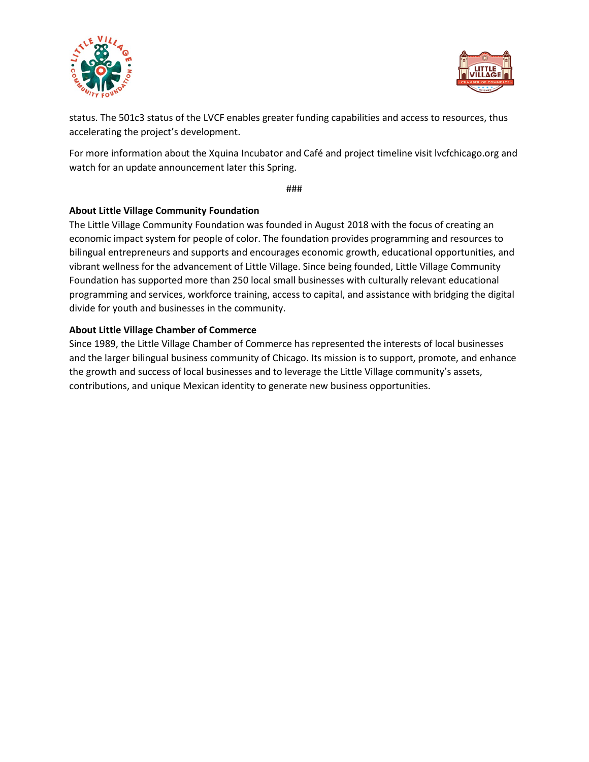



status. The 501c3 status of the LVCF enables greater funding capabilities and access to resources, thus accelerating the project's development.

For more information about the Xquina Incubator and Café and project timeline visit lvcfchicago.org and watch for an update announcement later this Spring.

###

## **About Little Village Community Foundation**

The Little Village Community Foundation was founded in August 2018 with the focus of creating an economic impact system for people of color. The foundation provides programming and resources to bilingual entrepreneurs and supports and encourages economic growth, educational opportunities, and vibrant wellness for the advancement of Little Village. Since being founded, Little Village Community Foundation has supported more than 250 local small businesses with culturally relevant educational programming and services, workforce training, access to capital, and assistance with bridging the digital divide for youth and businesses in the community.

## **About Little Village Chamber of Commerce**

Since 1989, the Little Village Chamber of Commerce has represented the interests of local businesses and the larger bilingual business community of Chicago. Its mission is to support, promote, and enhance the growth and success of local businesses and to leverage the Little Village community's assets, contributions, and unique Mexican identity to generate new business opportunities.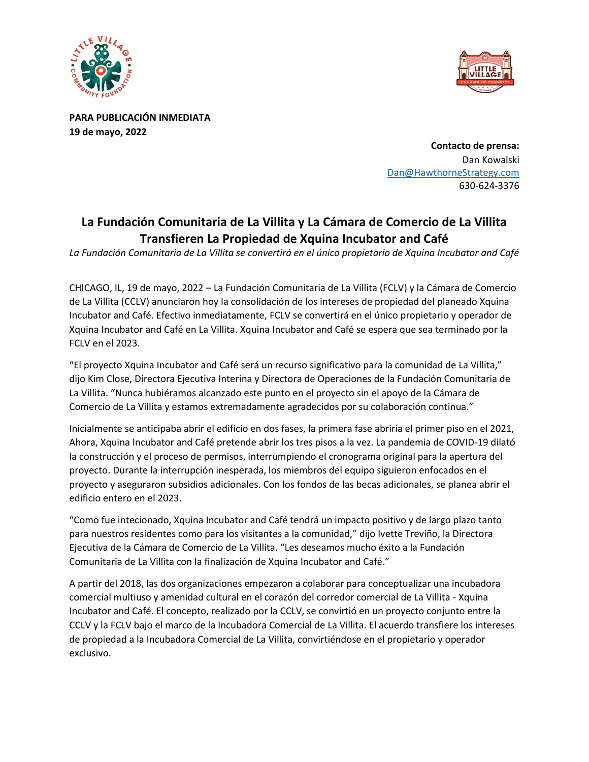



**PARA PUBLICACIÓN INMEDIATA 19 de mayo, 2022** 

> **Contacto de prensa:** Dan Kowalski [Dan@HawthorneStrategy.com](mailto:Dan@HawthorneStrategy.com) 630-624-3376

## **La Fundación Comunitaria de La Villita y La Cámara de Comercio de La Villita Transfieren La Propiedad de Xquina Incubator and Café**

*La Fundación Comunitaria de La Villita se convertirá en el único propietario de Xquina Incubator and Café*

CHICAGO, IL, 19 de mayo, 2022 – La Fundación Comunitaria de La Villita (FCLV) y la Cámara de Comercio de La Villita (CCLV) anunciaron hoy la consolidación de los intereses de propiedad del planeado Xquina Incubator and Café. Efectivo inmediatamente, FCLV se convertirá en el único propietario y operador de Xquina Incubator and Café en La Villita. Xquina Incubator and Café se espera que sea terminado por la FCLV en el 2023.

"El proyecto Xquina Incubator and Café será un recurso significativo para la comunidad de La Villita," dijo Kim Close, Directora Ejecutiva Interina y Directora de Operaciones de la Fundación Comunitaria de La Villita. "Nunca hubiéramos alcanzado este punto en el proyecto sin el apoyo de la Cámara de Comercio de La Villita y estamos extremadamente agradecidos por su colaboración continua."

Inicialmente se anticipaba abrir el edificio en dos fases, la primera fase abriría el primer piso en el 2021, Ahora, Xquina Incubator and Café pretende abrir los tres pisos a la vez. La pandemia de COVID-19 dilató la construcción y el proceso de permisos, interrumpiendo el cronograma original para la apertura del proyecto. Durante la interrupción inesperada, los miembros del equipo siguieron enfocados en el proyecto y aseguraron subsidios adicionales. Con los fondos de las becas adicionales, se planea abrir el edificio entero en el 2023.

"Como fue intecionado, Xquina Incubator and Café tendrá un impacto positivo y de largo plazo tanto para nuestros residentes como para los visitantes a la comunidad," dijo Ivette Treviño, la Directora Ejecutiva de la Cámara de Comercio de La Villita. "Les deseamos mucho éxito a la Fundación Comunitaria de La Villita con la finalización de Xquina Incubator and Café."

A partir del 2018, las dos organizaciones empezaron a colaborar para conceptualizar una incubadora comercial multiuso y amenidad cultural en el corazón del corredor comercial de La Villita - Xquina Incubator and Café. El concepto, realizado por la CCLV, se convirtió en un proyecto conjunto entre la CCLV y la FCLV bajo el marco de la Incubadora Comercial de La Villita. El acuerdo transfiere los intereses de propiedad a la Incubadora Comercial de La Villita, convirtiéndose en el propietario y operador exclusivo.